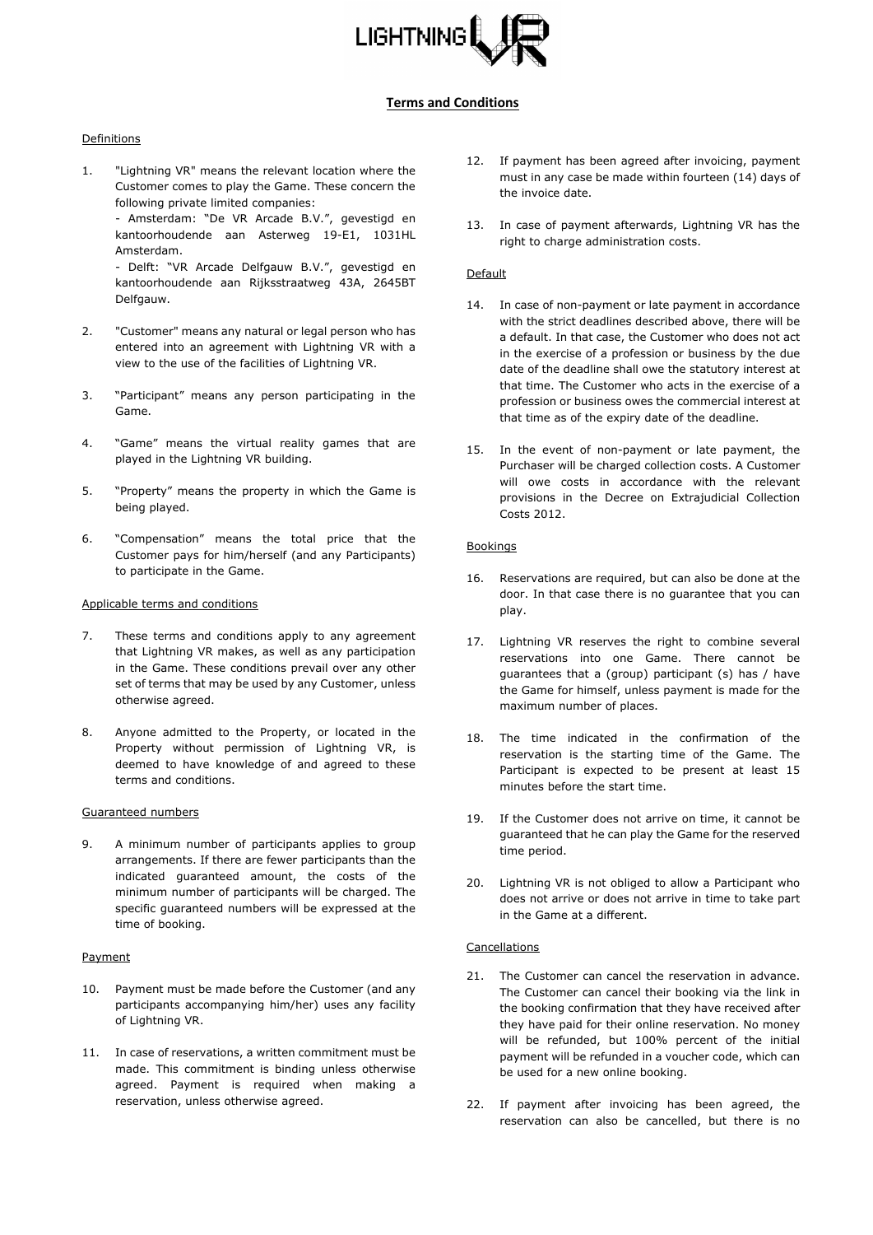

# **Terms and Conditions**

## Definitions

1. "Lightning VR" means the relevant location where the Customer comes to play the Game. These concern the following private limited companies:

- Amsterdam: "De VR Arcade B.V.", gevestigd en kantoorhoudende aan Asterweg 19-E1, 1031HL Amsterdam.

- Delft: "VR Arcade Delfgauw B.V.", gevestigd en kantoorhoudende aan Rijksstraatweg 43A, 2645BT Delfgauw.

- 2. "Customer" means any natural or legal person who has entered into an agreement with Lightning VR with a view to the use of the facilities of Lightning VR.
- 3. "Participant" means any person participating in the Game.
- 4. "Game" means the virtual reality games that are played in the Lightning VR building.
- 5. "Property" means the property in which the Game is being played.
- 6. "Compensation" means the total price that the Customer pays for him/herself (and any Participants) to participate in the Game.

### Applicable terms and conditions

- 7. These terms and conditions apply to any agreement that Lightning VR makes, as well as any participation in the Game. These conditions prevail over any other set of terms that may be used by any Customer, unless otherwise agreed.
- 8. Anyone admitted to the Property, or located in the Property without permission of Lightning VR, is deemed to have knowledge of and agreed to these terms and conditions.

# Guaranteed numbers

9. A minimum number of participants applies to group arrangements. If there are fewer participants than the indicated guaranteed amount, the costs of the minimum number of participants will be charged. The specific guaranteed numbers will be expressed at the time of booking.

#### Payment

- 10. Payment must be made before the Customer (and any participants accompanying him/her) uses any facility of Lightning VR.
- 11. In case of reservations, a written commitment must be made. This commitment is binding unless otherwise agreed. Payment is required when making a reservation, unless otherwise agreed.
- 12. If payment has been agreed after invoicing, payment must in any case be made within fourteen (14) days of the invoice date.
- 13. In case of payment afterwards, Lightning VR has the right to charge administration costs.

## Default

- 14. In case of non-payment or late payment in accordance with the strict deadlines described above, there will be a default. In that case, the Customer who does not act in the exercise of a profession or business by the due date of the deadline shall owe the statutory interest at that time. The Customer who acts in the exercise of a profession or business owes the commercial interest at that time as of the expiry date of the deadline.
- 15. In the event of non-payment or late payment, the Purchaser will be charged collection costs. A Customer will owe costs in accordance with the relevant provisions in the Decree on Extrajudicial Collection Costs 2012.

### Bookings

- 16. Reservations are required, but can also be done at the door. In that case there is no guarantee that you can play.
- 17. Lightning VR reserves the right to combine several reservations into one Game. There cannot be guarantees that a (group) participant (s) has / have the Game for himself, unless payment is made for the maximum number of places.
- 18. The time indicated in the confirmation of the reservation is the starting time of the Game. The Participant is expected to be present at least 15 minutes before the start time.
- 19. If the Customer does not arrive on time, it cannot be guaranteed that he can play the Game for the reserved time period.
- 20. Lightning VR is not obliged to allow a Participant who does not arrive or does not arrive in time to take part in the Game at a different.

#### Cancellations

- 21. The Customer can cancel the reservation in advance. The Customer can cancel their booking via the link in the booking confirmation that they have received after they have paid for their online reservation. No money will be refunded, but 100% percent of the initial payment will be refunded in a voucher code, which can be used for a new online booking.
- 22. If payment after invoicing has been agreed, the reservation can also be cancelled, but there is no